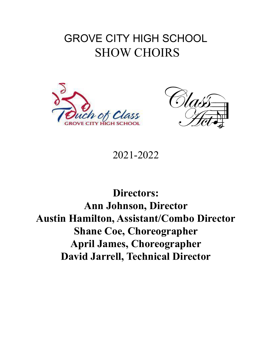# GROVE CITY HIGH SCHOOL SHOW CHOIRS





2021-2022

**Directors: Ann Johnson, Director Austin Hamilton, Assistant/Combo Director Shane Coe, Choreographer April James, Choreographer David Jarrell, Technical Director**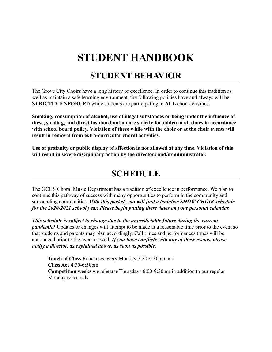# **STUDENT HANDBOOK**

### **STUDENT BEHAVIOR**

The Grove City Choirs have a long history of excellence. In order to continue this tradition as well as maintain a safe learning environment, the following policies have and always will be **STRICTLY ENFORCED** while students are participating in **ALL** choir activities:

**Smoking, consumption of alcohol, use of illegal substances or being under the influence of these, stealing, and direct insubordination are strictly forbidden at all times in accordance with school board policy. Violation of these while with the choir or at the choir events will result in removal from extra-curricular choral activities.**

**Use of profanity or public display of affection is not allowed at any time. Violation of this will result in severe disciplinary action by the directors and/or administrator.**

### **SCHEDULE**

The GCHS Choral Music Department has a tradition of excellence in performance. We plan to continue this pathway of success with many opportunities to perform in the community and surrounding communities. *With this packet, you will find a tentative SHOW CHOIR schedule for the 2020-2021 school year. Please begin putting these dates on your personal calendar.*

*This schedule is subject to change due to the unpredictable future during the current pandemic!* Updates or changes will attempt to be made at a reasonable time prior to the event so that students and parents may plan accordingly. Call times and performances times will be announced prior to the event as well. *If you have conflicts with any of these events, please notify a director, as explained above, as soon as possible.*

**Touch of Class** Rehearses every Monday 2:30-4:30pm and **Class Act** 4:30-6:30pm **Competition weeks** we rehearse Thursdays 6:00-9:30pm in addition to our regular Monday rehearsals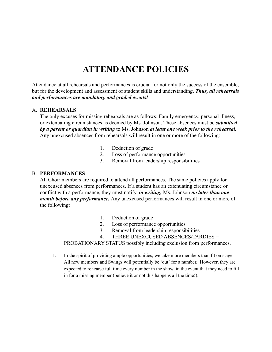### **ATTENDANCE POLICIES**

Attendance at all rehearsals and performances is crucial for not only the success of the ensemble, but for the development and assessment of student skills and understanding. *Thus, all rehearsals and performances are mandatory and graded events!*

#### A. **REHEARSALS**

The only excuses for missing rehearsals are as follows: Family emergency, personal illness, or extenuating circumstances as deemed by Ms. Johnson. These absences must be *submitted by a parent or guardian in writing* to Ms. Johnson *at least one week prior to the rehearsal.* Any unexcused absences from rehearsals will result in one or more of the following:

- 1. Deduction of grade
- 2. Loss of performance opportunities
- 3. Removal from leadership responsibilities

#### B. **PERFORMANCES**

All Choir members are required to attend all performances. The same policies apply for unexcused absences from performances. If a student has an extenuating circumstance or conflict with a performance, they must notify, *in writing,* Ms. Johnson *no later than one month before any performance.* Any unexcused performances will result in one or more of the following:

- 1. Deduction of grade
- 2. Loss of performance opportunities
- 3. Removal from leadership responsibilities
- 4. THREE UNEXCUSED ABSENCES/TARDIES =

PROBATIONARY STATUS possibly including exclusion from performances.

I. In the spirit of providing ample opportunities, we take more members than fit on stage. All new members and Swings will potentially be 'out' for a number. However, they are expected to rehearse full time every number in the show, in the event that they need to fill in for a missing member (believe it or not this happens all the time!).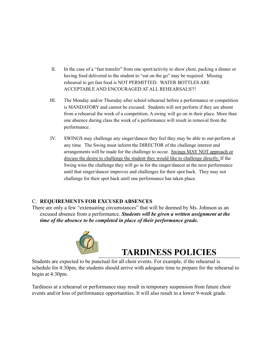- II. In the case of a "fast transfer" from one sport/activity to show choir, packing a dinner or having food delivered to the student to "eat on the go" may be required. Missing rehearsal to get fast food is NOT PERMITTED. WATER BOTTLES ARE ACCEPTABLE AND ENCOURAGED AT ALL REHEARSALS!!!
- III. The Monday and/or Thursday after school rehearsal before a performance or competition is MANDATORY and cannot be excused. Students will not perform if they are absent from a rehearsal the week of a competition. A swing will go on in their place. More than one absence during class the week of a performance will result in removal from the performance.
- IV. SWINGS may challenge any singer/dancer they feel they may be able to out-perform at any time. The Swing must inform the DIRECTOR of the challenge interest and arrangements will be made for the challenge to occur. Swings MAY NOT approach or discuss the desire to challenge the student they would like to challenge directly. If the Swing wins the challenge they will go in for the singer/dancer at the next performance until that singer/dancer improves and challenges for their spot back. They may not challenge for their spot back until one performance has taken place.

#### C. **REQUIREMENTS FOR EXCUSED ABSENCES**

There are only a few "extenuating circumstances" that will be deemed by Ms. Johnson as an excused absence from a performance. *Students will be given a written assignment at the time of the absence to be completed in place of their performance grade.*



## **TARDINESS POLICIES**

Students are expected to be punctual for all choir events. For example, if the rehearsal is schedule for 4:30pm, the students should arrive with adequate time to prepare for the rehearsal to begin at 4:30pm.

Tardiness at a rehearsal or performance may result in temporary suspension from future choir events and/or loss of performance opportunities. It will also result in a lower 9-week grade.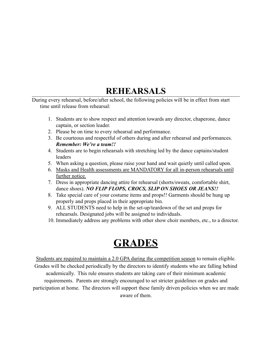## **REHEARSALS**

During every rehearsal, before/after school, the following policies will be in effect from start time until release from rehearsal:

- 1. Students are to show respect and attention towards any director, chaperone, dance captain, or section leader.
- 2. Please be on time to every rehearsal and performance.
- 3. Be courteous and respectful of others during and after rehearsal and performances. *Remember: We're a team!!*
- 4. Students are to begin rehearsals with stretching led by the dance captains/student leaders
- 5. When asking a question, please raise your hand and wait quietly until called upon.
- 6. Masks and Health assessments are MANDATORY for all in-person rehearsals until further notice.
- 7. Dress in appropriate dancing attire for rehearsal (shorts/sweats, comfortable shirt, dance shoes). *NO FLIP FLOPS, CROCS, SLIP ON SHOES OR JEANS!!*
- 8. Take special care of your costume items and props!! Garments should be hung up properly and props placed in their appropriate bin.
- 9. ALL STUDENTS need to help in the set-up/teardown of the set and props for rehearsals. Designated jobs will be assigned to individuals.
- 10. Immediately address any problems with other show choir members, etc., to a director.

# **GRADES**

Students are required to maintain a 2.0 GPA during the competition season to remain eligible. Grades will be checked periodically by the directors to identify students who are falling behind academically. This rule ensures students are taking care of their minimum academic requirements. Parents are strongly encouraged to set stricter guidelines on grades and participation at home. The directors will support these family driven policies when we are made aware of them.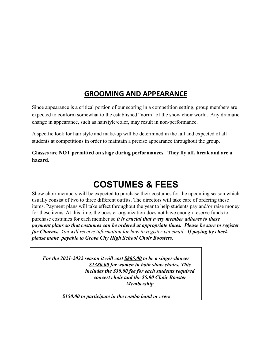### **GROOMING AND APPEARANCE**

Since appearance is a critical portion of our scoring in a competition setting, group members are expected to conform somewhat to the established "norm" of the show choir world. Any dramatic change in appearance, such as hairstyle/color, may result in non-performance.

A specific look for hair style and make-up will be determined in the fall and expected of all students at competitions in order to maintain a precise appearance throughout the group.

**Glasses are NOT permitted on stage during performances. They fly off, break and are a hazard.**

## **COSTUMES & FEES**

Show choir members will be expected to purchase their costumes for the upcoming season which usually consist of two to three different outfits. The directors will take care of ordering these items. Payment plans will take effect throughout the year to help students pay and/or raise money for these items. At this time, the booster organization does not have enough reserve funds to purchase costumes for each member so *it is crucial that every member adheres to these payment plans so that costumes can be ordered at appropriate times. Please be sure to register for Charms. You will receive information for how to register via email. If paying by check please make payable to Grove City High School Choir Boosters.*

*For the 2021-2022 season it will cost \$885.00 to be a singer-dancer \$1380.00 for women in both show choirs. This includes the \$30.00 fee for each students required concert choir and the \$5.00 Choir Booster Membership*

*\$150.00 to participate in the combo band or crew.*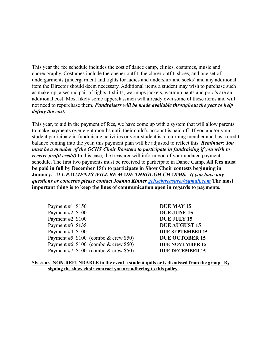This year the fee schedule includes the cost of dance camp, clinics, costumes, music and choreography. Costumes include the opener outfit, the closer outfit, shoes, and one set of undergarments (undergarment and tights for ladies and undershirt and socks) and any additional item the Director should deem necessary. Additional items a student may wish to purchase such as make-up, a second pair of tights, t-shirts, warmups jackets, warmup pants and polo's are an additional cost. Most likely some upperclassmen will already own some of these items and will not need to repurchase them. *Fundraisers will be made available throughout the year to help defray the cost.*

This year, to aid in the payment of fees, we have come up with a system that will allow parents to make payments over eight months until their child's account is paid off. If you and/or your student participate in fundraising activities or your student is a returning member and has a credit balance coming into the year, this payment plan will be adjusted to reflect this. *Reminder: You must be a member of the GCHS Choir Boosters to participate in fundraising if you wish to receive profit credit*) In this case, the treasurer will inform you of your updated payment schedule. The first two payments must be received to participate in Dance Camp. **All fees must be paid in full by December 15th to participate in Show Choir contests beginning in January.** *ALL PAYMENTS WILL BE MADE THROUGH CHARMS. If you have any questions or concerns please contact Joanna Kinner [gchscbtreasurer@gmail.com](mailto:gchscbassistanttreasurer@gmail.com)* **The most important thing is to keep the lines of communication open in regards to payments.**

| Payment #1 $$150$ |                                       | <b>DUE MAY 15</b>       |
|-------------------|---------------------------------------|-------------------------|
| Payment #2 $$100$ |                                       | <b>DUE JUNE 15</b>      |
| Payment #2 $$100$ |                                       | DUE JULY 15             |
| Payment #3 \$135  |                                       | <b>DUE AUGUST 15</b>    |
| Payment #4 $$100$ |                                       | <b>DUE SEPTEMBER 15</b> |
|                   | Payment #5 $$100$ (combo & crew \$50) | <b>DUE OCTOBER 15</b>   |
|                   | Payment #6 $$100$ (combo & crew \$50) | <b>DUE NOVEMBER 15</b>  |
|                   | Payment #7 $$100$ (combo & crew \$50) | <b>DUE DECEMBER 15</b>  |

**<sup>\*</sup>Fees are NON-REFUNDABLE in the event a student quits or is dismissed from the group. By signing the show choir contract you are adhering to this policy.**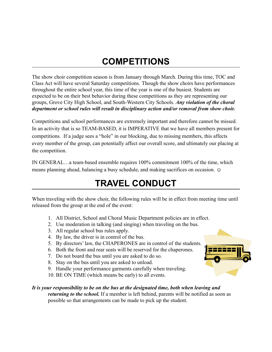## **COMPETITIONS**

The show choir competition season is from January through March. During this time, TOC and Class Act will have several Saturday competitions. Though the show choirs have performances throughout the entire school year, this time of the year is one of the busiest. Students are expected to be on their best behavior during these competitions as they are representing our groups, Grove City High School, and South-Western City Schools. *Any violation of the choral department or school rules will result in disciplinary action and/or removal from show choir.*

Competitions and school performances are extremely important and therefore cannot be missed. In an activity that is so TEAM-BASED, it is IMPERATIVE that we have all members present for competitions. If a judge sees a "hole" in our blocking, due to missing members, this affects every member of the group, can potentially affect our overall score, and ultimately our placing at the competition.

IN GENERAL…a team-based ensemble requires 100% commitment 100% of the time, which means planning ahead, balancing a busy schedule, and making sacrifices on occasion.  $\odot$ 

## **TRAVEL CONDUCT**

When traveling with the show choir, the following rules will be in effect from meeting time until released from the group at the end of the event:

- 1. All District, School and Choral Music Department policies are in effect.
- 2. Use moderation in talking (and singing) when traveling on the bus.
- 3. All regular school bus rules apply.
- 4. By law, the driver is in control of the bus.
- 5. By directors' law, the CHAPERONES are in control of the students.
- 6. Both the front and rear seats will be reserved for the chaperones.
- 7. Do not board the bus until you are asked to do so.
- 8. Stay on the bus until you are asked to unload.
- 9. Handle your performance garments carefully when traveling.
- 10. BE ON TIME (which means be early) to all events.

#### *It is your responsibility to be on the bus at the designated time, both when leaving and returning to the school.* If a member is left behind, parents will be notified as soon as possible so that arrangements can be made to pick up the student.